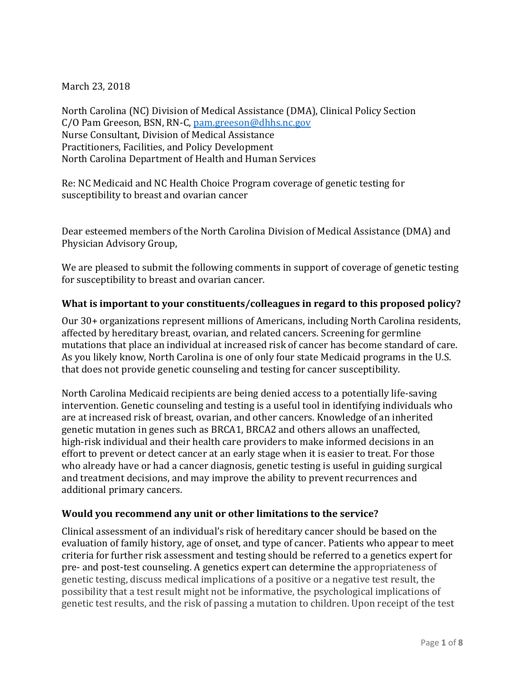March 23, 2018

North Carolina (NC) Division of Medical Assistance (DMA), Clinical Policy Section C/O Pam Greeson, BSN, RN-C, [pam.greeson@dhhs.nc.gov](mailto:pam.greeson@dhhs.nc.gov) Nurse Consultant, Division of Medical Assistance Practitioners, Facilities, and Policy Development North Carolina Department of Health and Human Services

Re: NC Medicaid and NC Health Choice Program coverage of genetic testing for susceptibility to breast and ovarian cancer

Dear esteemed members of the North Carolina Division of Medical Assistance (DMA) and Physician Advisory Group,

We are pleased to submit the following comments in support of coverage of genetic testing for susceptibility to breast and ovarian cancer.

## **What is important to your constituents/colleagues in regard to this proposed policy?**

Our 30+ organizations represent millions of Americans, including North Carolina residents, affected by hereditary breast, ovarian, and related cancers. Screening for germline mutations that place an individual at increased risk of cancer has become standard of care. As you likely know, North Carolina is one of only four state Medicaid programs in the U.S. that does not provide genetic counseling and testing for cancer susceptibility.

North Carolina Medicaid recipients are being denied access to a potentially life-saving intervention. Genetic counseling and testing is a useful tool in identifying individuals who are at increased risk of breast, ovarian, and other cancers. Knowledge of an inherited genetic mutation in genes such as BRCA1, BRCA2 and others allows an unaffected, high-risk individual and their health care providers to make informed decisions in an effort to prevent or detect cancer at an early stage when it is easier to treat. For those who already have or had a cancer diagnosis, genetic testing is useful in guiding surgical and treatment decisions, and may improve the ability to prevent recurrences and additional primary cancers.

## **Would you recommend any unit or other limitations to the service?**

Clinical assessment of an individual's risk of hereditary cancer should be based on the evaluation of family history, age of onset, and type of cancer. Patients who appear to meet criteria for further risk assessment and testing should be referred to a genetics expert for pre- and post-test counseling. A genetics expert can determine the appropriateness of genetic testing, discuss medical implications of a positive or a negative test result, the possibility that a test result might not be informative, the psychological implications of genetic test results, and the risk of passing a mutation to children. Upon receipt of the test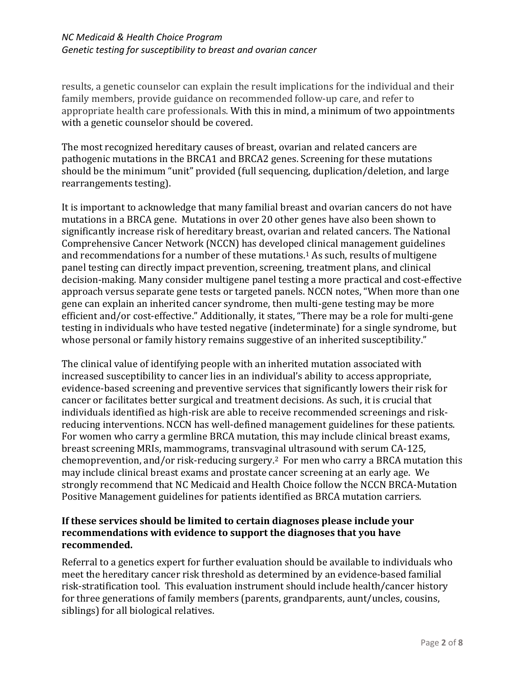## *NC Medicaid & Health Choice Program Genetic testing for susceptibility to breast and ovarian cancer*

results, a genetic counselor can explain the result implications for the individual and their family members, provide guidance on recommended follow-up care, and refer to appropriate health care professionals. With this in mind, a minimum of two appointments with a genetic counselor should be covered.

The most recognized hereditary causes of breast, ovarian and related cancers are pathogenic mutations in the BRCA1 and BRCA2 genes. Screening for these mutations should be the minimum "unit" provided (full sequencing, duplication/deletion, and large rearrangements testing).

It is important to acknowledge that many familial breast and ovarian cancers do not have mutations in a BRCA gene. Mutations in over 20 other genes have also been shown to significantly increase risk of hereditary breast, ovarian and related cancers. The National Comprehensive Cancer Network (NCCN) has developed clinical management guidelines and recommendations for a number of these mutations.<sup>1</sup> As such, results of multigene panel testing can directly impact prevention, screening, treatment plans, and clinical decision-making. Many consider multigene panel testing a more practical and cost-effective approach versus separate gene tests or targeted panels. NCCN notes, "When more than one gene can explain an inherited cancer syndrome, then multi-gene testing may be more efficient and/or cost-effective." Additionally, it states, "There may be a role for multi-gene testing in individuals who have tested negative (indeterminate) for a single syndrome, but whose personal or family history remains suggestive of an inherited susceptibility."

The clinical value of identifying people with an inherited mutation associated with increased susceptibility to cancer lies in an individual's ability to access appropriate, evidence-based screening and preventive services that significantly lowers their risk for cancer or facilitates better surgical and treatment decisions. As such, it is crucial that individuals identified as high-risk are able to receive recommended screenings and riskreducing interventions. NCCN has well-defined management guidelines for these patients. For women who carry a germline BRCA mutation, this may include clinical breast exams, breast screening MRIs, mammograms, transvaginal ultrasound with serum CA-125, chemoprevention, and/or risk-reducing surgery.2 For men who carry a BRCA mutation this may include clinical breast exams and prostate cancer screening at an early age. We strongly recommend that NC Medicaid and Health Choice follow the NCCN BRCA-Mutation Positive Management guidelines for patients identified as BRCA mutation carriers.

## **If these services should be limited to certain diagnoses please include your recommendations with evidence to support the diagnoses that you have recommended.**

Referral to a genetics expert for further evaluation should be available to individuals who meet the hereditary cancer risk threshold as determined by an evidence-based familial risk-stratification tool. This evaluation instrument should include health/cancer history for three generations of family members (parents, grandparents, aunt/uncles, cousins, siblings) for all biological relatives.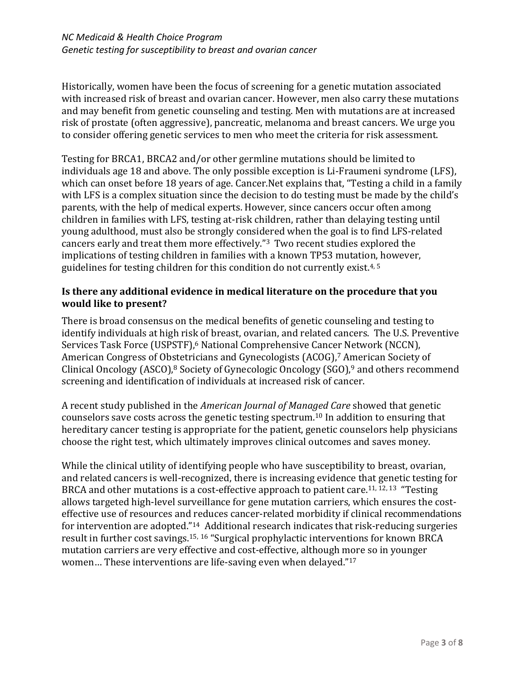Historically, women have been the focus of screening for a genetic mutation associated with increased risk of breast and ovarian cancer. However, men also carry these mutations and may benefit from genetic counseling and testing. Men with mutations are at increased risk of prostate (often aggressive), pancreatic, melanoma and breast cancers. We urge you to consider offering genetic services to men who meet the criteria for risk assessment.

Testing for BRCA1, BRCA2 and/or other germline mutations should be limited to individuals age 18 and above. The only possible exception is Li-Fraumeni syndrome (LFS), which can onset before 18 years of age. Cancer.Net explains that, "Testing a child in a family with LFS is a complex situation since the decision to do testing must be made by the child's parents, with the help of medical experts. However, since cancers occur often among children in families with LFS, testing at-risk children, rather than delaying testing until young adulthood, must also be strongly considered when the goal is to find LFS-related cancers early and treat them more effectively."<sup>3</sup> Two recent studies explored the implications of testing children in families with a known TP53 mutation, however, guidelines for testing children for this condition do not currently exist.4, <sup>5</sup>

## **Is there any additional evidence in medical literature on the procedure that you would like to present?**

There is broad consensus on the medical benefits of genetic counseling and testing to identify individuals at high risk of breast, ovarian, and related cancers. The U.S. Preventive Services Task Force (USPSTF),<sup>6</sup> National Comprehensive Cancer Network (NCCN), American Congress of Obstetricians and Gynecologists (ACOG), <sup>7</sup> American Society of Clinical Oncology (ASCO), <sup>8</sup> Society of Gynecologic Oncology (SGO), <sup>9</sup> and others recommend screening and identification of individuals at increased risk of cancer.

A recent study published in the *American Journal of Managed Care* showed that genetic counselors save costs across the genetic testing spectrum.<sup>10</sup> In addition to ensuring that hereditary cancer testing is appropriate for the patient, genetic counselors help physicians choose the right test, which ultimately improves clinical outcomes and saves money.

While the clinical utility of identifying people who have susceptibility to breast, ovarian, and related cancers is well-recognized, there is increasing evidence that genetic testing for BRCA and other mutations is a cost-effective approach to patient care.<sup>11, 12, 13</sup> "Testing allows targeted high-level surveillance for gene mutation carriers, which ensures the costeffective use of resources and reduces cancer-related morbidity if clinical recommendations for intervention are adopted."<sup>14</sup> Additional research indicates that risk-reducing surgeries result in further cost savings. 15, <sup>16</sup> "Surgical prophylactic interventions for known BRCA mutation carriers are very effective and cost-effective, although more so in younger women… These interventions are life-saving even when delayed."<sup>17</sup>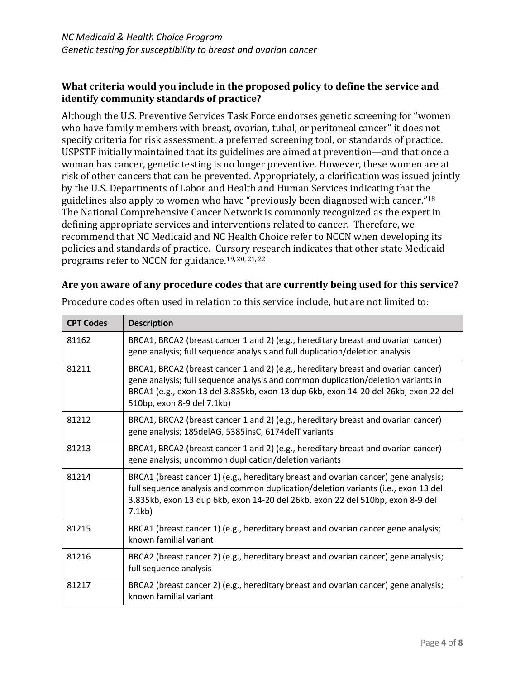## **What criteria would you include in the proposed policy to define the service and identify community standards of practice?**

Although the U.S. Preventive Services Task Force endorses genetic screening for "women who have family members with breast, ovarian, tubal, or peritoneal cancer" it does not specify criteria for risk assessment, a preferred screening tool, or standards of practice. USPSTF initially maintained that its guidelines are aimed at prevention—and that once a woman has cancer, genetic testing is no longer preventive. However, these women are at risk of other cancers that can be prevented. Appropriately, a clarification was issued jointly by the U.S. Departments of Labor and Health and Human Services indicating that the guidelines also apply to women who have "previously been diagnosed with cancer."<sup>18</sup> The National Comprehensive Cancer Network is commonly recognized as the expert in defining appropriate services and interventions related to cancer. Therefore, we recommend that NC Medicaid and NC Health Choice refer to NCCN when developing its policies and standards of practice. Cursory research indicates that other state Medicaid programs refer to NCCN for guidance.19, 20, 21, 22

#### **Are you aware of any procedure codes that are currently being used for this service?**

| <b>CPT Codes</b> | <b>Description</b>                                                                                                                                                                                                                                                                          |
|------------------|---------------------------------------------------------------------------------------------------------------------------------------------------------------------------------------------------------------------------------------------------------------------------------------------|
| 81162            | BRCA1, BRCA2 (breast cancer 1 and 2) (e.g., hereditary breast and ovarian cancer)<br>gene analysis; full sequence analysis and full duplication/deletion analysis                                                                                                                           |
| 81211            | BRCA1, BRCA2 (breast cancer 1 and 2) (e.g., hereditary breast and ovarian cancer)<br>gene analysis; full sequence analysis and common duplication/deletion variants in<br>BRCA1 (e.g., exon 13 del 3.835kb, exon 13 dup 6kb, exon 14-20 del 26kb, exon 22 del<br>510bp, exon 8-9 del 7.1kb) |
| 81212            | BRCA1, BRCA2 (breast cancer 1 and 2) (e.g., hereditary breast and ovarian cancer)<br>gene analysis; 185delAG, 5385insC, 6174delT variants                                                                                                                                                   |
| 81213            | BRCA1, BRCA2 (breast cancer 1 and 2) (e.g., hereditary breast and ovarian cancer)<br>gene analysis; uncommon duplication/deletion variants                                                                                                                                                  |
| 81214            | BRCA1 (breast cancer 1) (e.g., hereditary breast and ovarian cancer) gene analysis;<br>full sequence analysis and common duplication/deletion variants (i.e., exon 13 del<br>3.835kb, exon 13 dup 6kb, exon 14-20 del 26kb, exon 22 del 510bp, exon 8-9 del<br>7.1kb)                       |
| 81215            | BRCA1 (breast cancer 1) (e.g., hereditary breast and ovarian cancer gene analysis;<br>known familial variant                                                                                                                                                                                |
| 81216            | BRCA2 (breast cancer 2) (e.g., hereditary breast and ovarian cancer) gene analysis;<br>full sequence analysis                                                                                                                                                                               |
| 81217            | BRCA2 (breast cancer 2) (e.g., hereditary breast and ovarian cancer) gene analysis;<br>known familial variant                                                                                                                                                                               |
|                  |                                                                                                                                                                                                                                                                                             |

Procedure codes often used in relation to this service include, but are not limited to: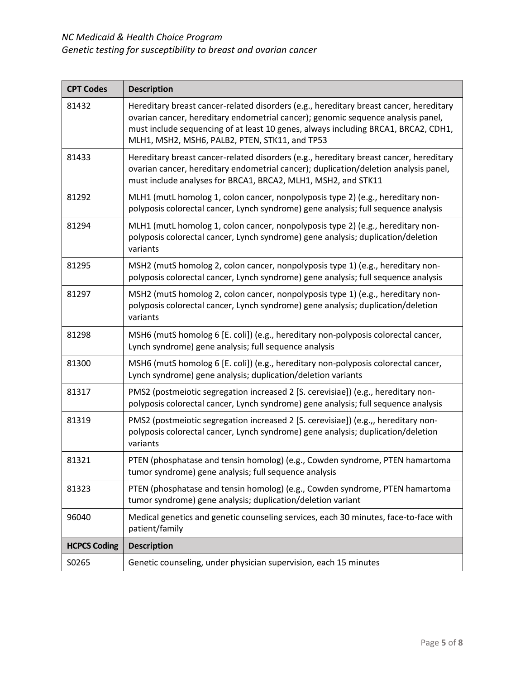# *NC Medicaid & Health Choice Program Genetic testing for susceptibility to breast and ovarian cancer*

| <b>CPT Codes</b>    | <b>Description</b>                                                                                                                                                                                                                                                                                                 |
|---------------------|--------------------------------------------------------------------------------------------------------------------------------------------------------------------------------------------------------------------------------------------------------------------------------------------------------------------|
| 81432               | Hereditary breast cancer-related disorders (e.g., hereditary breast cancer, hereditary<br>ovarian cancer, hereditary endometrial cancer); genomic sequence analysis panel,<br>must include sequencing of at least 10 genes, always including BRCA1, BRCA2, CDH1,<br>MLH1, MSH2, MSH6, PALB2, PTEN, STK11, and TP53 |
| 81433               | Hereditary breast cancer-related disorders (e.g., hereditary breast cancer, hereditary<br>ovarian cancer, hereditary endometrial cancer); duplication/deletion analysis panel,<br>must include analyses for BRCA1, BRCA2, MLH1, MSH2, and STK11                                                                    |
| 81292               | MLH1 (mutL homolog 1, colon cancer, nonpolyposis type 2) (e.g., hereditary non-<br>polyposis colorectal cancer, Lynch syndrome) gene analysis; full sequence analysis                                                                                                                                              |
| 81294               | MLH1 (mutL homolog 1, colon cancer, nonpolyposis type 2) (e.g., hereditary non-<br>polyposis colorectal cancer, Lynch syndrome) gene analysis; duplication/deletion<br>variants                                                                                                                                    |
| 81295               | MSH2 (mutS homolog 2, colon cancer, nonpolyposis type 1) (e.g., hereditary non-<br>polyposis colorectal cancer, Lynch syndrome) gene analysis; full sequence analysis                                                                                                                                              |
| 81297               | MSH2 (mutS homolog 2, colon cancer, nonpolyposis type 1) (e.g., hereditary non-<br>polyposis colorectal cancer, Lynch syndrome) gene analysis; duplication/deletion<br>variants                                                                                                                                    |
| 81298               | MSH6 (mutS homolog 6 [E. coli]) (e.g., hereditary non-polyposis colorectal cancer,<br>Lynch syndrome) gene analysis; full sequence analysis                                                                                                                                                                        |
| 81300               | MSH6 (mutS homolog 6 [E. coli]) (e.g., hereditary non-polyposis colorectal cancer,<br>Lynch syndrome) gene analysis; duplication/deletion variants                                                                                                                                                                 |
| 81317               | PMS2 (postmeiotic segregation increased 2 [S. cerevisiae]) (e.g., hereditary non-<br>polyposis colorectal cancer, Lynch syndrome) gene analysis; full sequence analysis                                                                                                                                            |
| 81319               | PMS2 (postmeiotic segregation increased 2 [S. cerevisiae]) (e.g.,, hereditary non-<br>polyposis colorectal cancer, Lynch syndrome) gene analysis; duplication/deletion<br>variants                                                                                                                                 |
| 81321               | PTEN (phosphatase and tensin homolog) (e.g., Cowden syndrome, PTEN hamartoma<br>tumor syndrome) gene analysis; full sequence analysis                                                                                                                                                                              |
| 81323               | PTEN (phosphatase and tensin homolog) (e.g., Cowden syndrome, PTEN hamartoma<br>tumor syndrome) gene analysis; duplication/deletion variant                                                                                                                                                                        |
| 96040               | Medical genetics and genetic counseling services, each 30 minutes, face-to-face with<br>patient/family                                                                                                                                                                                                             |
| <b>HCPCS Coding</b> | <b>Description</b>                                                                                                                                                                                                                                                                                                 |
| S0265               | Genetic counseling, under physician supervision, each 15 minutes                                                                                                                                                                                                                                                   |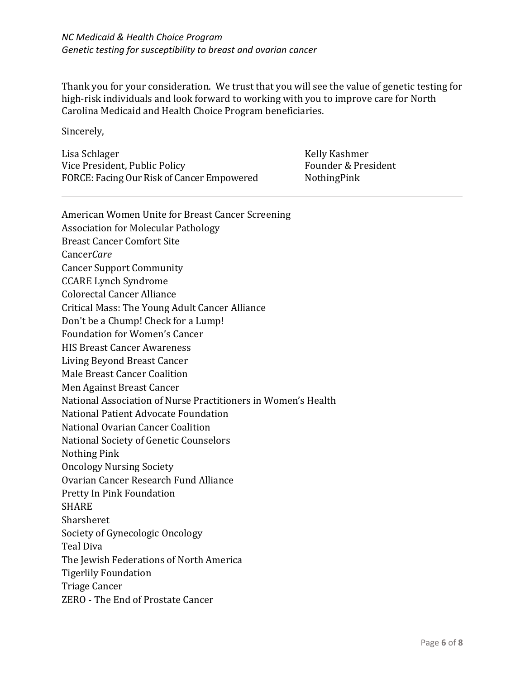Thank you for your consideration. We trust that you will see the value of genetic testing for high-risk individuals and look forward to working with you to improve care for North Carolina Medicaid and Health Choice Program beneficiaries.

Sincerely,

Lisa Schlager Vice President, Public Policy FORCE: Facing Our Risk of Cancer Empowered Kelly Kashmer Founder & President NothingPink

American Women Unite for Breast Cancer Screening Association for Molecular Pathology Breast Cancer Comfort Site Cancer*Care* Cancer Support Community CCARE Lynch Syndrome Colorectal Cancer Alliance Critical Mass: The Young Adult Cancer Alliance Don't be a Chump! Check for a Lump! Foundation for Women's Cancer HIS Breast Cancer Awareness Living Beyond Breast Cancer Male Breast Cancer Coalition Men Against Breast Cancer National Association of Nurse Practitioners in Women's Health National Patient Advocate Foundation National Ovarian Cancer Coalition National Society of Genetic Counselors Nothing Pink Oncology Nursing Society Ovarian Cancer Research Fund Alliance Pretty In Pink Foundation **SHARE** Sharsheret Society of Gynecologic Oncology Teal Diva The Jewish Federations of North America Tigerlily Foundation Triage Cancer ZERO - The End of Prostate Cancer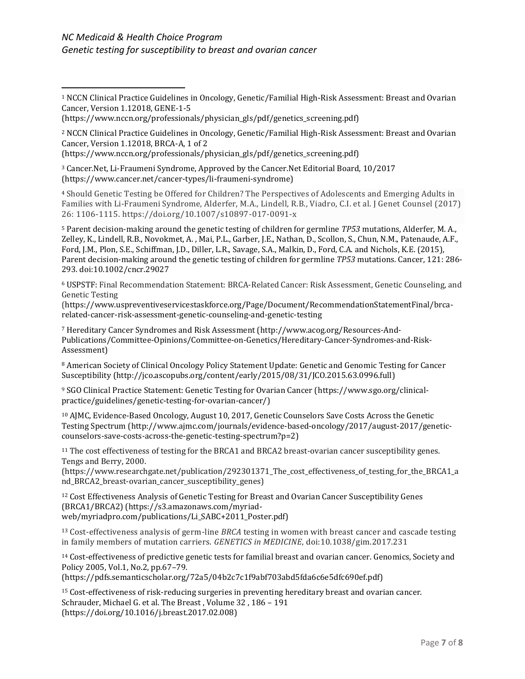#### *NC Medicaid & Health Choice Program Genetic testing for susceptibility to breast and ovarian cancer*

 $\overline{a}$ 

<sup>2</sup> NCCN Clinical Practice Guidelines in Oncology, Genetic/Familial High-Risk Assessment: Breast and Ovarian Cancer, Version 1.12018, BRCA-A, 1 of 2

(https://www.nccn.org/professionals/physician\_gls/pdf/genetics\_screening.pdf)

<sup>3</sup> Cancer.Net, Li-Fraumeni Syndrome, Approved by the Cancer.Net Editorial Board, 10/2017 (https://www.cancer.net/cancer-types/li-fraumeni-syndrome)

<sup>4</sup> Should Genetic Testing be Offered for Children? The Perspectives of Adolescents and Emerging Adults in Families with Li-Fraumeni Syndrome, Alderfer, M.A., Lindell, R.B., Viadro, C.I. et al. J Genet Counsel (2017) 26: 1106-1115. https://doi.org/10.1007/s10897-017-0091-x

<sup>5</sup> Parent decision‐making around the genetic testing of children for germline *TP53* mutations, Alderfer, M. A., Zelley, K., Lindell, R.B., Novokmet, A. , Mai, P.L., Garber, J.E., Nathan, D., Scollon, S., Chun, N.M., Patenaude, A.F., Ford, J.M., Plon, S.E., Schiffman, J.D., Diller, L.R., Savage, S.A., Malkin, D., Ford, C.A. and Nichols, K.E. (2015), Parent decision‐making around the genetic testing of children for germline *TP53* mutations. Cancer, 121: 286- 293. doi[:10.1002/cncr.29027](https://doi.org/10.1002/cncr.29027)

<sup>6</sup> USPSTF: Final Recommendation Statement: BRCA-Related Cancer: Risk Assessment, Genetic Counseling, and Genetic Testing

(https://www.uspreventiveservicestaskforce.org/Page/Document/RecommendationStatementFinal/brcarelated-cancer-risk-assessment-genetic-counseling-and-genetic-testing

<sup>7</sup> Hereditary Cancer Syndromes and Risk Assessment (http://www.acog.org/Resources-And-Publications/Committee-Opinions/Committee-on-Genetics/Hereditary-Cancer-Syndromes-and-Risk-Assessment)

<sup>8</sup> American Society of Clinical Oncology Policy Statement Update: Genetic and Genomic Testing for Cancer Susceptibility (http://jco.ascopubs.org/content/early/2015/08/31/JCO.2015.63.0996.full)

<sup>9</sup> SGO Clinical Practice Statement: Genetic Testing for Ovarian Cancer (https://www.sgo.org/clinicalpractice/guidelines/genetic-testing-for-ovarian-cancer/)

<sup>10</sup> AJMC, Evidence-Based Oncology, August 10, 2017, Genetic Counselors Save Costs Across the Genetic Testing Spectrum (http://www.ajmc.com/journals/evidence-based-oncology/2017/august-2017/geneticcounselors-save-costs-across-the-genetic-testing-spectrum?p=2)

<sup>11</sup> The cost effectiveness of testing for the BRCA1 and BRCA2 breast-ovarian cancer susceptibility genes. Tengs and Berry, 2000.

(https://www.researchgate.net/publication/292301371\_The\_cost\_effectiveness\_of\_testing\_for\_the\_BRCA1\_a nd\_BRCA2\_breast-ovarian\_cancer\_susceptibility\_genes)

<sup>12</sup> Cost Effectiveness Analysis of Genetic Testing for Breast and Ovarian Cancer Susceptibility Genes (BRCA1/BRCA2) (https://s3.amazonaws.com/myriadweb/myriadpro.com/publications/Li\_SABC+2011\_Poster.pdf)

<sup>13</sup> Cost-effectiveness analysis of germ-line *BRCA* testing in women with breast cancer and cascade testing in family members of mutation carriers. *GENETICS in MEDICINE*, doi:10.1038/gim.2017.231

<sup>14</sup> Cost-effectiveness of predictive genetic tests for familial breast and ovarian cancer. Genomics, Society and Policy 2005, Vol.1, No.2, pp.67–79.

(https://pdfs.semanticscholar.org/72a5/04b2c7c1f9abf703abd5fda6c6e5dfc690ef.pdf)

<sup>15</sup> Cost-effectiveness of risk-reducing surgeries in preventing hereditary breast and ovarian cancer. Schrauder, Michael G. et al. The Breast , Volume 32 , 186 – 191 (https://doi.org/10.1016/j.breast.2017.02.008)

<sup>1</sup> NCCN Clinical Practice Guidelines in Oncology, Genetic/Familial High-Risk Assessment: Breast and Ovarian Cancer, Version 1.12018, GENE-1-5

<sup>(</sup>https://www.nccn.org/professionals/physician\_gls/pdf/genetics\_screening.pdf)